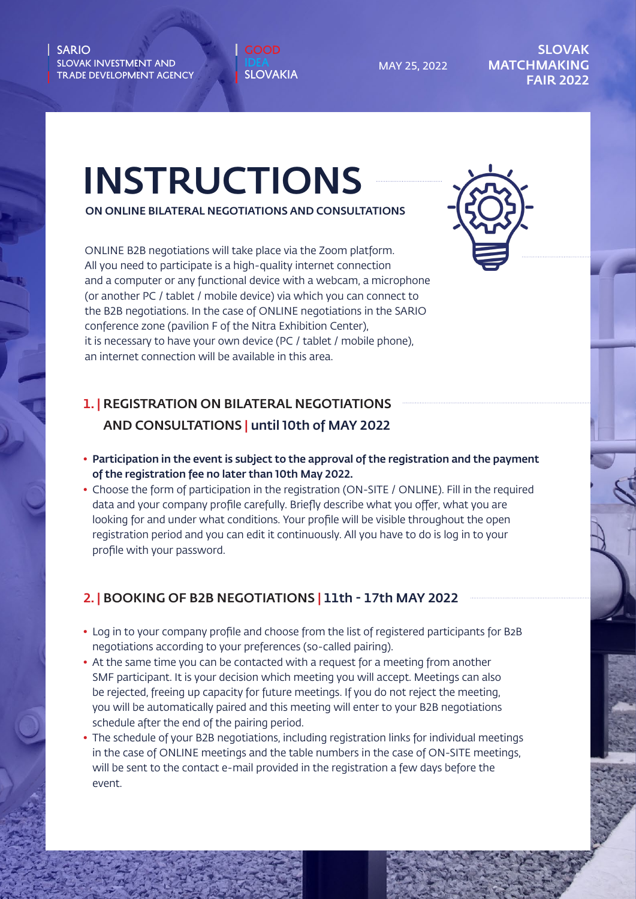<sup>JEA</sup>... LOVAKIA SLOVAKIA

MAY 25, 2022

#### SLOVAK **MATCHMAKING** FAIR 2022

# INSTRUCTIONS

ON ONLINE BILATERAL NEGOTIATIONS AND CONSULTATIONS

ONLINE B2B negotiations will take place via the Zoom platform. All you need to participate is a high-quality internet connection and a computer or any functional device with a webcam, a microphone (or another PC / tablet / mobile device) via which you can connect to the B2B negotiations. In the case of ONLINE negotiations in the SARIO conference zone (pavilion F of the Nitra Exhibition Center), it is necessary to have your own device (PC / tablet / mobile phone), an internet connection will be available in this area.

## 1. | REGISTRATION ON BILATERAL NEGOTIATIONS AND CONSULTATIONS | until 10th of MAY 2022

- Participation in the event is subject to the approval of the registration and the payment of the registration fee no later than 10th May 2022.
- Choose the form of participation in the registration (ON-SITE / ONLINE). Fill in the required data and your company profile carefully. Briefly describe what you offer, what you are looking for and under what conditions. Your profile will be visible throughout the open registration period and you can edit it continuously. All you have to do is log in to your profile with your password.

## 2. | BOOKING OF B2B NEGOTIATIONS | 11th - 17th MAY 2022

- Log in to your company profile and choose from the list of registered participants for B2B negotiations according to your preferences (so-called pairing).
- At the same time you can be contacted with a request for a meeting from another SMF participant. It is your decision which meeting you will accept. Meetings can also be rejected, freeing up capacity for future meetings. If you do not reject the meeting, you will be automatically paired and this meeting will enter to your B2B negotiations schedule after the end of the pairing period.
- The schedule of your B2B negotiations, including registration links for individual meetings in the case of ONLINE meetings and the table numbers in the case of ON-SITE meetings, will be sent to the contact e-mail provided in the registration a few days before the event.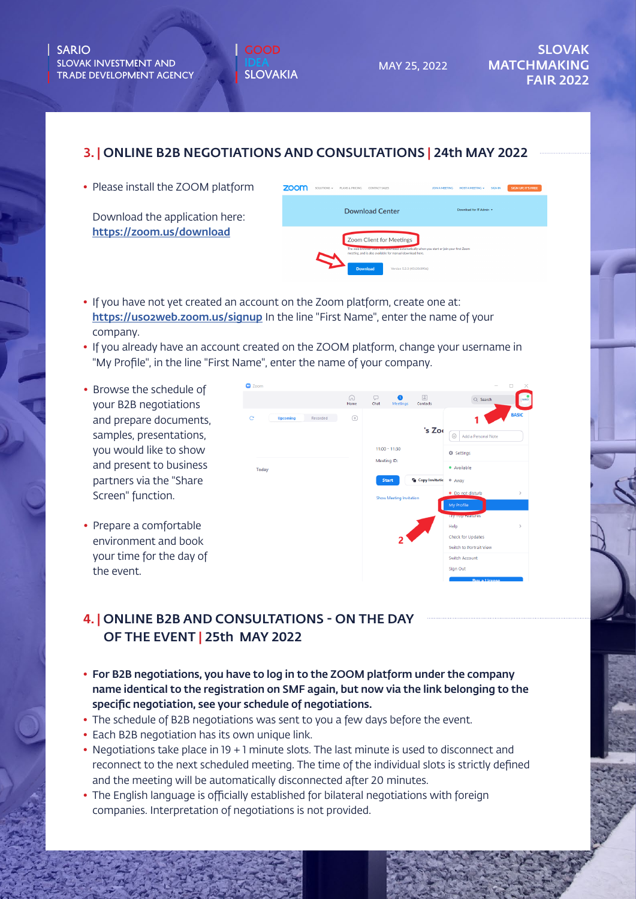MAY 25, 2022

#### 3. | ONLINE B2B NEGOTIATIONS AND CONSULTATIONS | 24th MAY 2022

• Please install the ZOOM platform

Download the application here: https://zoom.us/download

| zoom                                                                                                                                                                                                                              | SOLUTIONS + | PLANS & PRICING | CONTACT SALES          | JOIN A MEETING | HOST A MEETING +        | <b>SIGN IN</b> | <b>SIGN UP, IT'S FREE</b> |  |
|-----------------------------------------------------------------------------------------------------------------------------------------------------------------------------------------------------------------------------------|-------------|-----------------|------------------------|----------------|-------------------------|----------------|---------------------------|--|
|                                                                                                                                                                                                                                   |             |                 | <b>Download Center</b> |                | Download for IT Admin v |                |                           |  |
| Zoom Client for Meetings<br>The web browser crent will gowntoad automatically when you start or join your first Zoom<br>meeting, and is also available for manual download here.<br><b>Download</b><br>Version 5.2.3 (45120.0906) |             |                 |                        |                |                         |                |                           |  |

- If you have not yet created an account on the Zoom platform, create one at: https://uso2web.zoom.us/signup In the line "First Name", enter the name of your company.
- If you already have an account created on the ZOOM platform, change your username in "My Profile", in the line "First Name", enter the name of your company.
- Browse the schedule of your B2B negotiations and prepare documents, samples, presentations, you would like to show and present to business partners via the "Share Screen" function.
- Prepare a comfortable environment and book your time for the day of the event.



## 4. | ONLINE B2B AND CONSULTATIONS - ON THE DAY OF THE EVENT | 25th MAY 2022

- For B2B negotiations, you have to log in to the ZOOM platform under the company name identical to the registration on SMF again, but now via the link belonging to the specific negotiation, see your schedule of negotiations.
- The schedule of B2B negotiations was sent to you a few days before the event.
- Each B2B negotiation has its own unique link.
- Negotiations take place in 19 + 1 minute slots. The last minute is used to disconnect and reconnect to the next scheduled meeting. The time of the individual slots is strictly defined and the meeting will be automatically disconnected after 20 minutes.
- The English language is officially established for bilateral negotiations with foreign companies. Interpretation of negotiations is not provided.